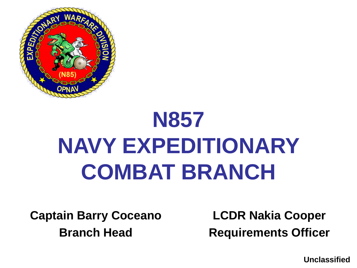

# **N857 NAVY EXPEDITIONARY COMBAT BRANCH**

**Captain Barry Coceano Branch Head**

**LCDR Nakia Cooper Requirements Officer**

**Unclassified**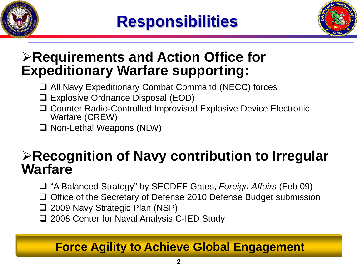



### **Requirements and Action Office for Expeditionary Warfare supporting:**

- All Navy Expeditionary Combat Command (NECC) forces
- □ Explosive Ordnance Disposal (EOD)
- □ Counter Radio-Controlled Improvised Explosive Device Electronic Warfare (CREW)
- $\Box$  Non-Lethal Weapons (NLW)

### **Recognition of Navy contribution to Irregular Warfare**

- "A Balanced Strategy" by SECDEF Gates, *Foreign Affairs* (Feb 09)
- □ Office of the Secretary of Defense 2010 Defense Budget submission
- □ 2009 Navy Strategic Plan (NSP)
- □ 2008 Center for Naval Analysis C-IED Study

#### **Force Agility to Achieve Global Engagement**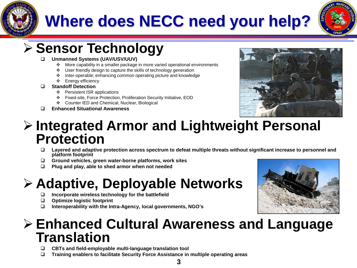

# **Where does NECC need your help?**



### **Sensor Technology**

#### **Unmanned Systems (UAV/USV/UUV)**

- $\cdot$  More capability in a smaller package in more varied operational environments
- $\div$  User friendly design to capture the skills of technology generation
- $\cdot$  Inter-operable; enhancing common operating picture and knowledge
- ❖ Energy efficiency
- **Standoff Detection**
	- ❖ Persistent ISR applications
	- Fixed-site, Force Protection, Proliferation Security Initiative, EOD
	- Counter IED and Chemical, Nuclear, Biological
- **Enhanced Situational Awareness**



## **Integrated Armor and Lightweight Personal Protection**

- **Layered and adaptive protection across spectrum to defeat multiple threats without significant increase to personnel and platform footprint**
- **Ground vehicles, green water-borne platforms, work sites**
- **Plug and play, able to shed armor when not needed**

## **Adaptive, Deployable Networks**

- **Incorporate wireless technology for the battlefield**
- **Optimize logistic footprint**
- **Interoperability with the Intra-Agency, local governments, NGO's**



### **Enhanced Cultural Awareness and Language Translation**

- **CBTs and field-employable multi-language translation tool**
- **Training enablers to facilitate Security Force Assistance in multiple operating areas**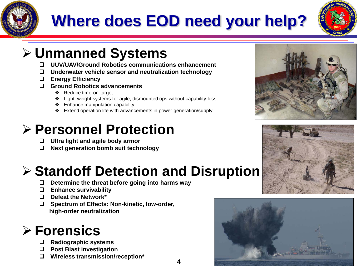

## **Where does EOD need your help?**

**4**



### **Unmanned Systems**

- **UUV/UAV/Ground Robotics communications enhancement**
- **Underwater vehicle sensor and neutralization technology**
- **Energy Efficiency**
- **Ground Robotics advancements**
	- Reduce time-on-target
	- Light weight systems for agile, dismounted ops without capability loss
	- $\div$  Enhance manipulation capability
	- $\div$  Extend operation life with advancements in power generation/supply

### **Personnel Protection**

- **Ultra light and agile body armor**
- **Next generation bomb suit technology**

## **Standoff Detection and Disruption**

- **Determine the threat before going into harms way**
- **Enhance survivability**
- **Defeat the Network\***
- **Spectrum of Effects: Non-kinetic, low-order, high-order neutralization**

## **Forensics**

- **Radiographic systems**
- **Post Blast investigation**
- **Wireless transmission/reception\***





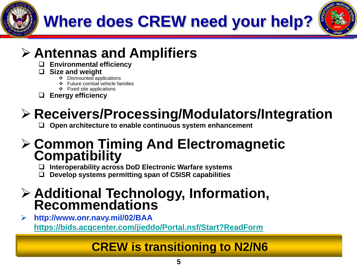

# **Where does CREW need your help?**



### **Antennas and Amplifiers**

- **Environmental efficiency**
- **Size and weight**
	- $\div$  Dismounted applications
	- Future combat vehicle families
	- $\div$  Fixed site applications
- **Energy efficiency**

## **Receivers/Processing/Modulators/Integration**

**Open architecture to enable continuous system enhancement**

### **Common Timing And Electromagnetic Compatibility**

**Interoperability across DoD Electronic Warfare systems**

**Develop systems permitting span of C5ISR capabilities**

#### **Additional Technology, Information, Recommendations**

#### **http://www.onr.navy.mil/02/BAA <https://bids.acqcenter.com/jieddo/Portal.nsf/Start?ReadForm>**

### **CREW is transitioning to N2/N6**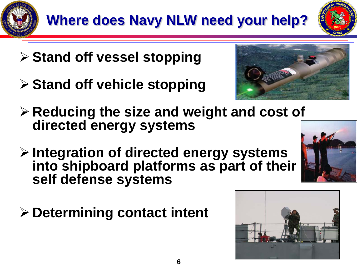



- **Stand off vessel stopping**
- **Stand off vehicle stopping**



- **Reducing the size and weight and cost of directed energy systems**
- **Integration of directed energy systems into shipboard platforms as part of their self defense systems**



**Determining contact intent**

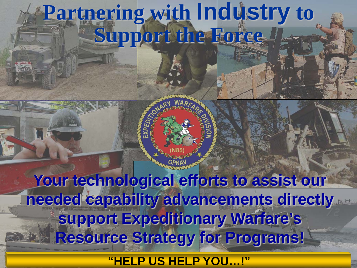# **Partnering with Industry to Support the Force**

1258 P

**NAVY EXPEDITION CONTRACTOR** 

**Companying the Section 1988 Your technological efforts to assist our needed capability advancements directly support Expeditionary Warfare's Resource Strategy for Programs!**

**"HELP US HELP YOU…!"**